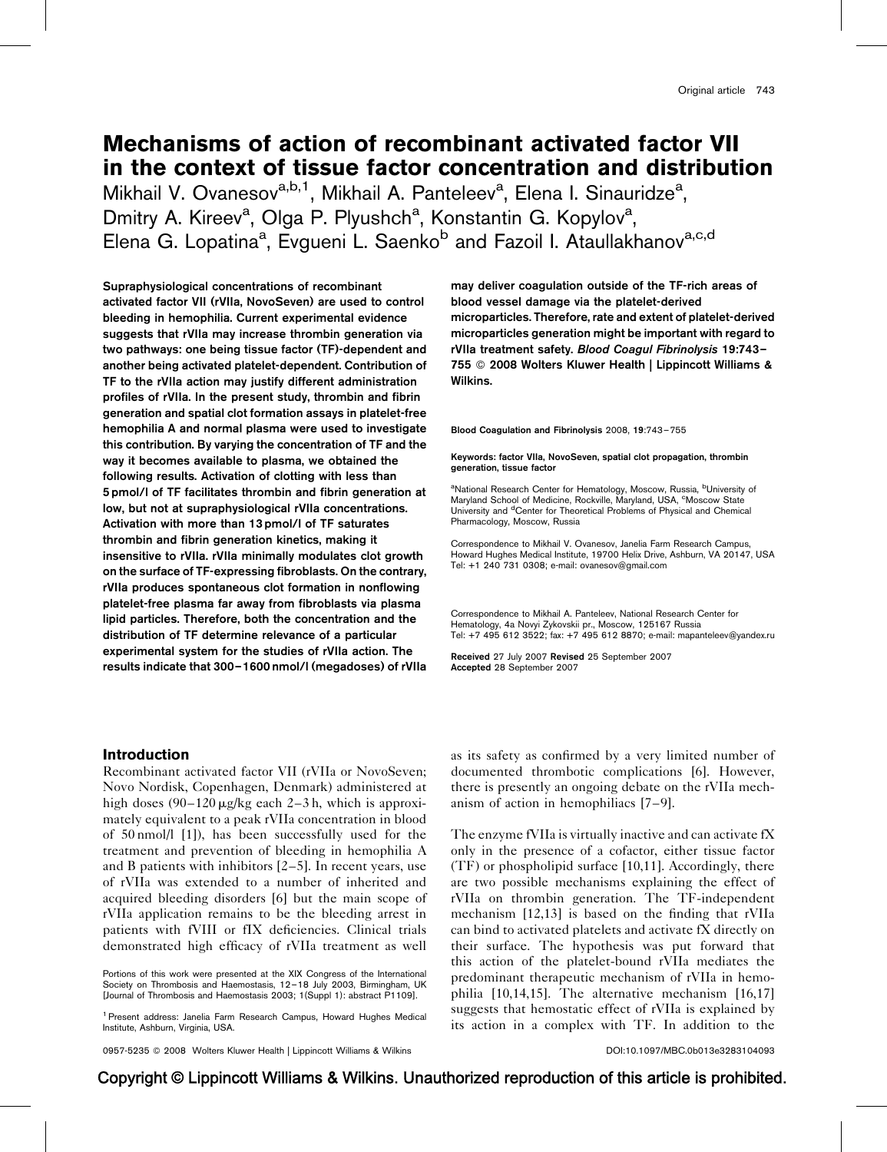# Mechanisms of action of recombinant activated factor VII in the context of tissue factor concentration and distribution

Mikhail V. Ovanesov<sup>a,b,1</sup>, Mikhail A. Panteleev<sup>a</sup>, Elena I. Sinauridze<sup>a</sup>, Dmitry A. Kireev<sup>a</sup>, Olga P. Plyushch<sup>a</sup>, Konstantin G. Kopylov<sup>a</sup>, Elena G. Lopatina<sup>a</sup>, Evgueni L. Saenko<sup>b</sup> and Fazoil I. Ataullakhanov<sup>a,c,d</sup>

Supraphysiological concentrations of recombinant activated factor VII (rVIIa, NovoSeven) are used to control bleeding in hemophilia. Current experimental evidence suggests that rVIIa may increase thrombin generation via two pathways: one being tissue factor (TF)-dependent and another being activated platelet-dependent. Contribution of TF to the rVIIa action may justify different administration profiles of rVIIa. In the present study, thrombin and fibrin generation and spatial clot formation assays in platelet-free hemophilia A and normal plasma were used to investigate this contribution. By varying the concentration of TF and the way it becomes available to plasma, we obtained the following results. Activation of clotting with less than 5 pmol/l of TF facilitates thrombin and fibrin generation at low, but not at supraphysiological rVIIa concentrations. Activation with more than 13 pmol/l of TF saturates thrombin and fibrin generation kinetics, making it insensitive to rVIIa. rVIIa minimally modulates clot growth on the surface of TF-expressing fibroblasts. On the contrary, rVIIa produces spontaneous clot formation in nonflowing platelet-free plasma far away from fibroblasts via plasma lipid particles. Therefore, both the concentration and the distribution of TF determine relevance of a particular experimental system for the studies of rVIIa action. The results indicate that 300–1600 nmol/l (megadoses) of rVIIa

may deliver coagulation outside of the TF-rich areas of blood vessel damage via the platelet-derived microparticles. Therefore, rate and extent of platelet-derived microparticles generation might be important with regard to rVIIa treatment safety. Blood Coagul Fibrinolysis 19:743– 755 2008 Wolters Kluwer Health | Lippincott Williams & Wilkins.

Blood Coagulation and Fibrinolysis 2008, 19:743–755

#### Keywords: factor VIIa, NovoSeven, spatial clot propagation, thrombin generation, tissue factor

<sup>a</sup>National Research Center for Hematology, Moscow, Russia, <sup>b</sup>University of Maryland School of Medicine, Rockville, Maryland, USA, <sup>c</sup>Moscow State University and <sup>d</sup>Center for Theoretical Problems of Physical and Chemical Pharmacology, Moscow, Russia

Correspondence to Mikhail V. Ovanesov, Janelia Farm Research Campus, Howard Hughes Medical Institute, 19700 Helix Drive, Ashburn, VA 20147, USA Tel: +1 240 731 0308; e-mail: [ovanesov@gmail.com](mailto:ovanesov@gmail.com)

Correspondence to Mikhail A. Panteleev, National Research Center for Hematology, 4a Novyi Zykovskii pr., Moscow, 125167 Russia Tel: +7 495 612 3522; fax: +7 495 612 8870; e-mail: [mapanteleev@yandex.ru](mailto:mapanteleev@yandex.ru)

Received 27 July 2007 Revised 25 September 2007 Accepted 28 September 2007

## Introduction

Recombinant activated factor VII (rVIIa or NovoSeven; Novo Nordisk, Copenhagen, Denmark) administered at high doses  $(90-120 \mu g/kg$  each  $2-3 h$ , which is approximately equivalent to a peak rVIIa concentration in blood of 50 nmol/l [\[1\]\)](#page-11-0), has been successfully used for the treatment and prevention of bleeding in hemophilia A and B patients with inhibitors [\[2–5\]](#page-11-0). In recent years, use of rVIIa was extended to a number of inherited and acquired bleeding disorders [\[6\]](#page-11-0) but the main scope of rVIIa application remains to be the bleeding arrest in patients with fVIII or fIX deficiencies. Clinical trials demonstrated high efficacy of rVIIa treatment as well

Portions of this work were presented at the XIX Congress of the International Society on Thrombosis and Haemostasis, 12–18 July 2003, Birmingham, UK [Journal of Thrombosis and Haemostasis 2003; 1(Suppl 1): abstract P1109].

<sup>1</sup> Present address: Janelia Farm Research Campus, Howard Hughes Medical Institute, Ashburn, Virginia, USA.

as its safety as confirmed by a very limited number of documented thrombotic complications [\[6\].](#page-11-0) However, there is presently an ongoing debate on the rVIIa mechanism of action in hemophiliacs [\[7–9\].](#page-11-0)

The enzyme fVIIa is virtually inactive and can activate fX only in the presence of a cofactor, either tissue factor (TF) or phospholipid surface [\[10,11\]](#page-11-0). Accordingly, there are two possible mechanisms explaining the effect of rVIIa on thrombin generation. The TF-independent mechanism [\[12,13\]](#page-11-0) is based on the finding that rVIIa can bind to activated platelets and activate fX directly on their surface. The hypothesis was put forward that this action of the platelet-bound rVIIa mediates the predominant therapeutic mechanism of rVIIa in hemophilia [\[10,14,15\]](#page-11-0). The alternative mechanism [\[16,17\]](#page-11-0) suggests that hemostatic effect of rVIIa is explained by its action in a complex with TF. In addition to the

0957-5235 © 2008 Wolters Kluwer Health | Lippincott Williams & Wilkins **DOI:[10.1097/MBC.0b013e3283104093](http://dx.doi.org/10.1097/MBC.0b013e3283104093)** DOI:10.1097/MBC.0b013e3283104093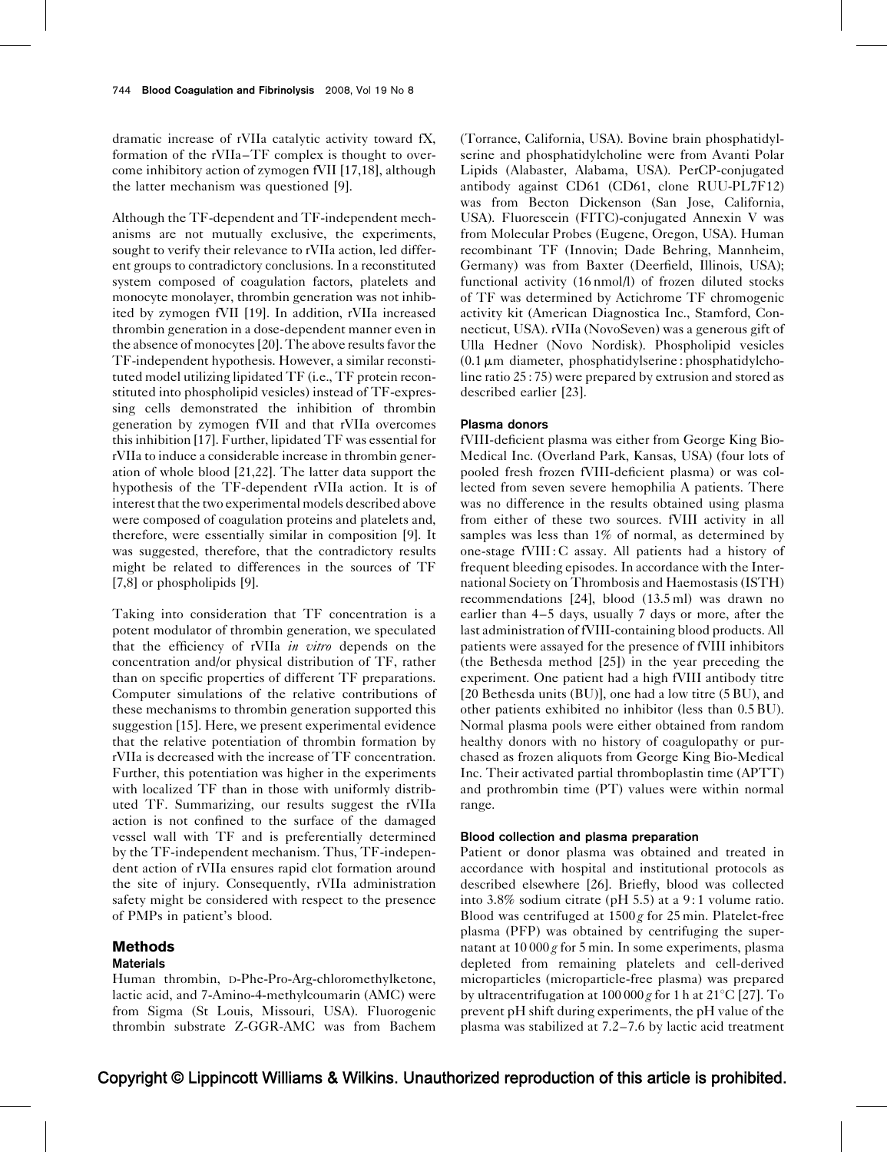dramatic increase of rVIIa catalytic activity toward fX, formation of the rVIIa–TF complex is thought to overcome inhibitory action of zymogen fVII [\[17,18\],](#page-11-0) although the latter mechanism was questioned [\[9\].](#page-11-0)

Although the TF-dependent and TF-independent mechanisms are not mutually exclusive, the experiments, sought to verify their relevance to rVIIa action, led different groups to contradictory conclusions. In a reconstituted system composed of coagulation factors, platelets and monocyte monolayer, thrombin generation was not inhibited by zymogen fVII [\[19\].](#page-11-0) In addition, rVIIa increased thrombin generation in a dose-dependent manner even in the absence of monocytes [\[20\]](#page-11-0). The above results favor the TF-independent hypothesis. However, a similar reconstituted model utilizing lipidated TF (i.e., TF protein reconstituted into phospholipid vesicles) instead of TF-expressing cells demonstrated the inhibition of thrombin generation by zymogen fVII and that rVIIa overcomes this inhibition [\[17\]](#page-11-0). Further, lipidated TF was essential for rVIIa to induce a considerable increase in thrombin generation of whole blood [\[21,22\]](#page-11-0). The latter data support the hypothesis of the TF-dependent rVIIa action. It is of interest that the two experimental models described above were composed of coagulation proteins and platelets and, therefore, were essentially similar in composition [\[9\].](#page-11-0) It was suggested, therefore, that the contradictory results might be related to differences in the sources of TF [\[7,8\]](#page-11-0) or phospholipids [\[9\].](#page-11-0)

Taking into consideration that TF concentration is a potent modulator of thrombin generation, we speculated that the efficiency of rVIIa in vitro depends on the concentration and/or physical distribution of TF, rather than on specific properties of different TF preparations. Computer simulations of the relative contributions of these mechanisms to thrombin generation supported this suggestion [\[15\]](#page-11-0). Here, we present experimental evidence that the relative potentiation of thrombin formation by rVIIa is decreased with the increase of TF concentration. Further, this potentiation was higher in the experiments with localized TF than in those with uniformly distributed TF. Summarizing, our results suggest the rVIIa action is not confined to the surface of the damaged vessel wall with TF and is preferentially determined by the TF-independent mechanism. Thus, TF-independent action of rVIIa ensures rapid clot formation around the site of injury. Consequently, rVIIa administration safety might be considered with respect to the presence of PMPs in patient's blood.

## Methods

#### **Materials**

Human thrombin, D-Phe-Pro-Arg-chloromethylketone, lactic acid, and 7-Amino-4-methylcoumarin (AMC) were from Sigma (St Louis, Missouri, USA). Fluorogenic thrombin substrate Z-GGR-AMC was from Bachem

(Torrance, California, USA). Bovine brain phosphatidylserine and phosphatidylcholine were from Avanti Polar Lipids (Alabaster, Alabama, USA). PerCP-conjugated antibody against CD61 (CD61, clone RUU-PL7F12) was from Becton Dickenson (San Jose, California, USA). Fluorescein (FITC)-conjugated Annexin V was from Molecular Probes (Eugene, Oregon, USA). Human recombinant TF (Innovin; Dade Behring, Mannheim, Germany) was from Baxter (Deerfield, Illinois, USA); functional activity (16 nmol/l) of frozen diluted stocks of TF was determined by Actichrome TF chromogenic activity kit (American Diagnostica Inc., Stamford, Connecticut, USA). rVIIa (NovoSeven) was a generous gift of Ulla Hedner (Novo Nordisk). Phospholipid vesicles  $(0.1 \mu m)$  diameter, phosphatidylserine : phosphatidylcholine ratio 25 : 75) were prepared by extrusion and stored as described earlier [\[23\].](#page-11-0)

### Plasma donors

fVIII-deficient plasma was either from George King Bio-Medical Inc. (Overland Park, Kansas, USA) (four lots of pooled fresh frozen fVIII-deficient plasma) or was collected from seven severe hemophilia A patients. There was no difference in the results obtained using plasma from either of these two sources. fVIII activity in all samples was less than 1% of normal, as determined by one-stage fVIII: C assay. All patients had a history of frequent bleeding episodes. In accordance with the International Society on Thrombosis and Haemostasis (ISTH) recommendations [\[24\]](#page-11-0), blood (13.5 ml) was drawn no earlier than 4–5 days, usually 7 days or more, after the last administration of fVIII-containing blood products. All patients were assayed for the presence of fVIII inhibitors (the Bethesda method [\[25\]](#page-11-0)) in the year preceding the experiment. One patient had a high fVIII antibody titre [20 Bethesda units (BU)], one had a low titre (5 BU), and other patients exhibited no inhibitor (less than 0.5 BU). Normal plasma pools were either obtained from random healthy donors with no history of coagulopathy or purchased as frozen aliquots from George King Bio-Medical Inc. Their activated partial thromboplastin time (APTT) and prothrombin time (PT) values were within normal range.

#### Blood collection and plasma preparation

Patient or donor plasma was obtained and treated in accordance with hospital and institutional protocols as described elsewhere [\[26\]](#page-11-0). Briefly, blood was collected into 3.8% sodium citrate (pH 5.5) at a 9 : 1 volume ratio. Blood was centrifuged at  $1500g$  for 25 min. Platelet-free plasma (PFP) was obtained by centrifuging the supernatant at  $10000 \text{ g}$  for 5 min. In some experiments, plasma depleted from remaining platelets and cell-derived microparticles (microparticle-free plasma) was prepared by ultracentrifugation at  $100000 g$  for 1 h at  $21^{\circ}$ C [\[27\]](#page-11-0). To prevent pH shift during experiments, the pH value of the plasma was stabilized at 7.2–7.6 by lactic acid treatment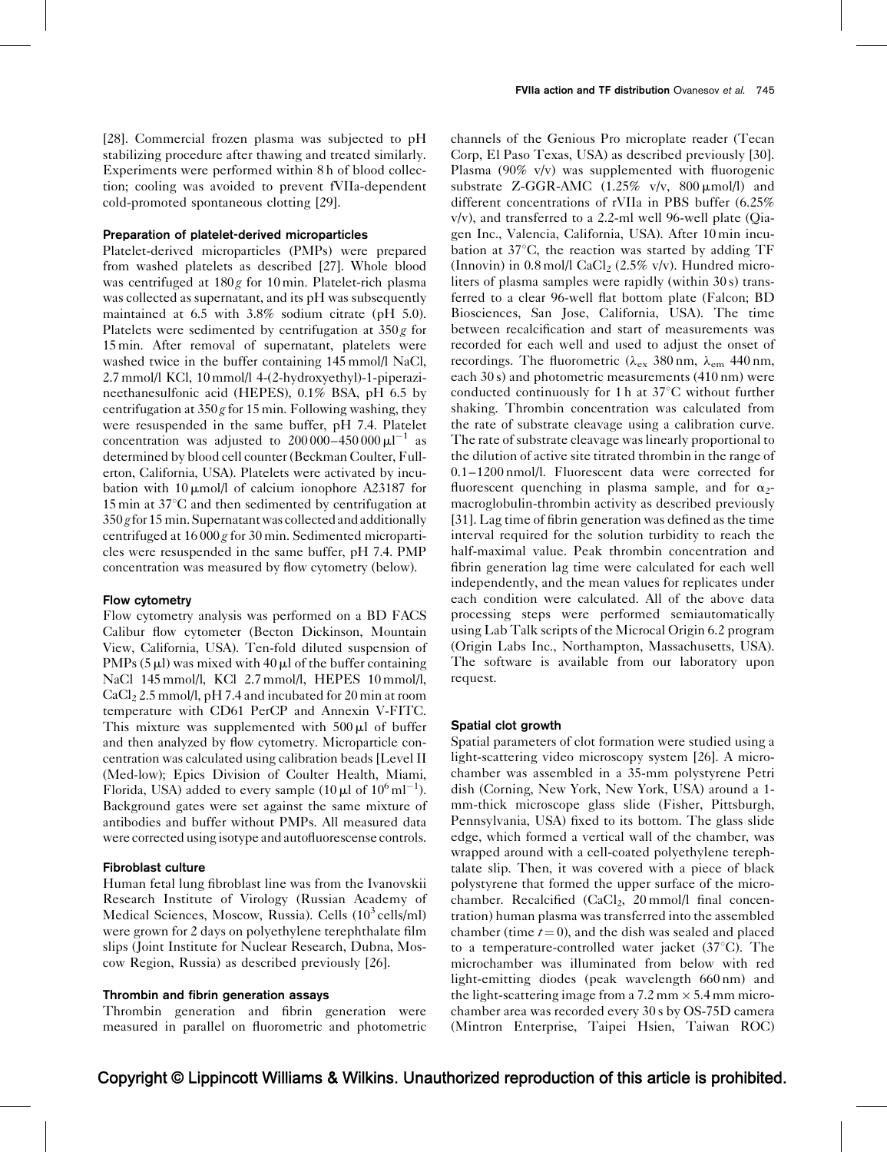[\[28\]](#page-11-0). Commercial frozen plasma was subjected to pH stabilizing procedure after thawing and treated similarly. Experiments were performed within 8 h of blood collection; cooling was avoided to prevent fVIIa-dependent cold-promoted spontaneous clotting [\[29\]](#page-11-0).

## Preparation of platelet-derived microparticles

Platelet-derived microparticles (PMPs) were prepared from washed platelets as described [\[27\].](#page-11-0) Whole blood was centrifuged at  $180 g$  for 10 min. Platelet-rich plasma was collected as supernatant, and its pH was subsequently maintained at 6.5 with 3.8% sodium citrate (pH 5.0). Platelets were sedimented by centrifugation at  $350g$  for 15 min. After removal of supernatant, platelets were washed twice in the buffer containing 145 mmol/l NaCl, 2.7 mmol/l KCl, 10 mmol/l 4-(2-hydroxyethyl)-1-piperazineethanesulfonic acid (HEPES), 0.1% BSA, pH 6.5 by centrifugation at  $350 g$  for 15 min. Following washing, they were resuspended in the same buffer, pH 7.4. Platelet concentration was adjusted to  $200\,000-450\,000 \,\mu\text{m}^{-1}$  as determined by blood cell counter (Beckman Coulter, Fullerton, California, USA). Platelets were activated by incubation with 10  $\mu$ mol/l of calcium ionophore A23187 for 15 min at  $37^{\circ}$ C and then sedimented by centrifugation at  $350$  g for 15 min. Supernatant was collected and additionally centrifuged at  $16000 g$  for 30 min. Sedimented microparticles were resuspended in the same buffer, pH 7.4. PMP concentration was measured by flow cytometry (below).

#### Flow cytometry

Flow cytometry analysis was performed on a BD FACS Calibur flow cytometer (Becton Dickinson, Mountain View, California, USA). Ten-fold diluted suspension of PMPs (5  $\mu$ l) was mixed with 40  $\mu$ l of the buffer containing NaCl 145 mmol/l, KCl 2.7 mmol/l, HEPES 10 mmol/l,  $CaCl<sub>2</sub> 2.5$  mmol/l, pH 7.4 and incubated for 20 min at room temperature with CD61 PerCP and Annexin V-FITC. This mixture was supplemented with  $500 \mu l$  of buffer and then analyzed by flow cytometry. Microparticle concentration was calculated using calibration beads [Level II (Med-low); Epics Division of Coulter Health, Miami, Florida, USA) added to every sample (10  $\mu$ l of 10<sup>6</sup> ml<sup>-1</sup>). Background gates were set against the same mixture of antibodies and buffer without PMPs. All measured data were corrected using isotype and autofluorescense controls.

### Fibroblast culture

Human fetal lung fibroblast line was from the Ivanovskii Research Institute of Virology (Russian Academy of Medical Sciences, Moscow, Russia). Cells  $(10<sup>3</sup>$  cells/ml) were grown for 2 days on polyethylene terephthalate film slips (Joint Institute for Nuclear Research, Dubna, Moscow Region, Russia) as described previously [\[26\].](#page-11-0)

#### Thrombin and fibrin generation assays

Thrombin generation and fibrin generation were measured in parallel on fluorometric and photometric channels of the Genious Pro microplate reader (Tecan Corp, El Paso Texas, USA) as described previously [\[30\]](#page-11-0). Plasma (90%  $v/v$ ) was supplemented with fluorogenic substrate Z-GGR-AMC  $(1.25\% \text{ v/v}, 800 \mu \text{mol/l})$  and different concentrations of rVIIa in PBS buffer (6.25% v/v), and transferred to a 2.2-ml well 96-well plate (Qiagen Inc., Valencia, California, USA). After 10 min incubation at  $37^{\circ}$ C, the reaction was started by adding TF (Innovin) in  $0.8 \text{ mol/l }$  CaCl<sub>2</sub> (2.5% v/v). Hundred microliters of plasma samples were rapidly (within 30 s) transferred to a clear 96-well flat bottom plate (Falcon; BD Biosciences, San Jose, California, USA). The time between recalcification and start of measurements was recorded for each well and used to adjust the onset of recordings. The fluorometric ( $\lambda_{\text{ex}}$  380 nm,  $\lambda_{\text{em}}$  440 nm, each 30 s) and photometric measurements (410 nm) were conducted continuously for 1 h at  $37^{\circ}$ C without further shaking. Thrombin concentration was calculated from the rate of substrate cleavage using a calibration curve. The rate of substrate cleavage was linearly proportional to the dilution of active site titrated thrombin in the range of 0.1–1200 nmol/l. Fluorescent data were corrected for fluorescent quenching in plasma sample, and for  $\alpha_2$ macroglobulin-thrombin activity as described previously [\[31\]](#page-11-0). Lag time of fibrin generation was defined as the time interval required for the solution turbidity to reach the half-maximal value. Peak thrombin concentration and fibrin generation lag time were calculated for each well independently, and the mean values for replicates under each condition were calculated. All of the above data processing steps were performed semiautomatically using Lab Talk scripts of the Microcal Origin 6.2 program (Origin Labs Inc., Northampton, Massachusetts, USA). The software is available from our laboratory upon request.

#### Spatial clot growth

Spatial parameters of clot formation were studied using a light-scattering video microscopy system [\[26\]](#page-11-0). A microchamber was assembled in a 35-mm polystyrene Petri dish (Corning, New York, New York, USA) around a 1 mm-thick microscope glass slide (Fisher, Pittsburgh, Pennsylvania, USA) fixed to its bottom. The glass slide edge, which formed a vertical wall of the chamber, was wrapped around with a cell-coated polyethylene terephtalate slip. Then, it was covered with a piece of black polystyrene that formed the upper surface of the microchamber. Recalcified  $(CaCl<sub>2</sub>, 20 mmol/l$  final concentration) human plasma was transferred into the assembled chamber (time  $t = 0$ ), and the dish was sealed and placed to a temperature-controlled water jacket  $(37^{\circ}C)$ . The microchamber was illuminated from below with red light-emitting diodes (peak wavelength 660 nm) and the light-scattering image from a  $7.2$  mm  $\times$  5.4 mm microchamber area was recorded every 30 s by OS-75D camera (Mintron Enterprise, Taipei Hsien, Taiwan ROC)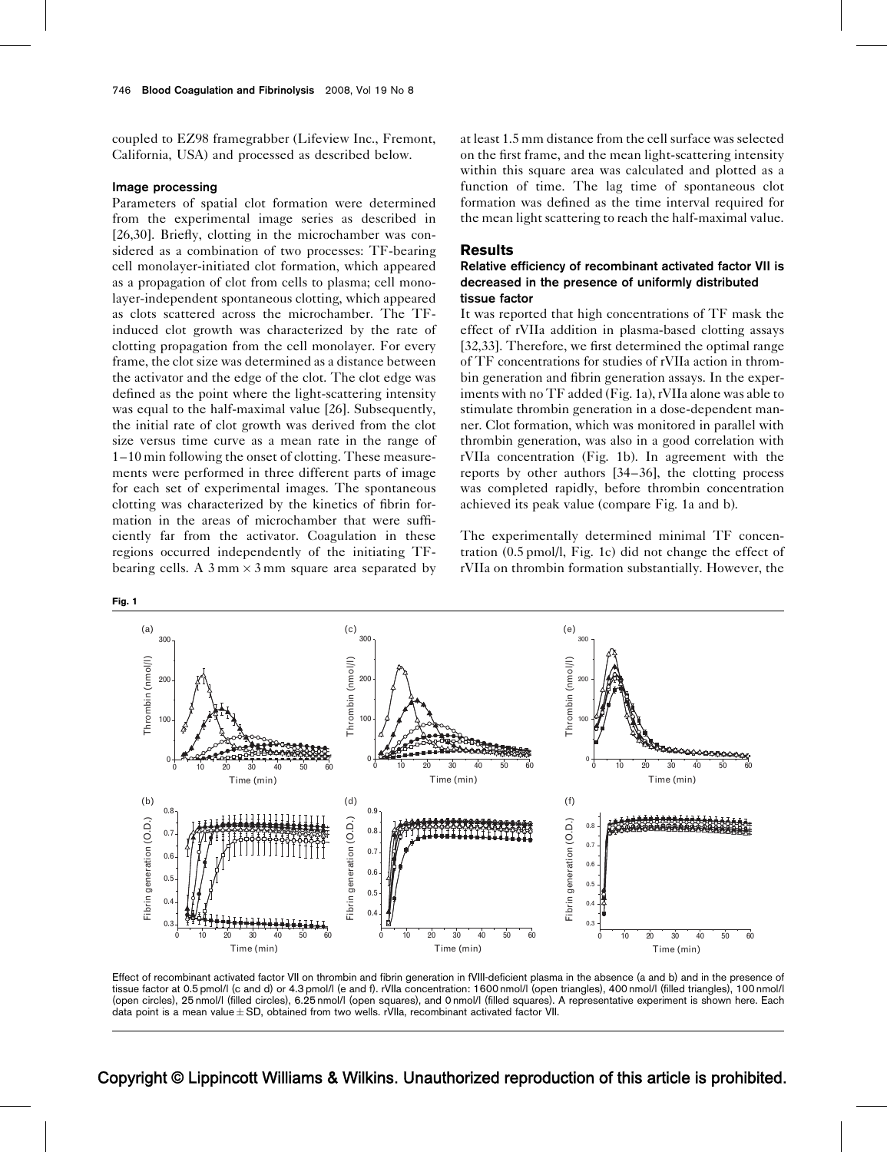<span id="page-3-0"></span>coupled to EZ98 framegrabber (Lifeview Inc., Fremont, California, USA) and processed as described below.

### Image processing

Parameters of spatial clot formation were determined from the experimental image series as described in [\[26,30\].](#page-11-0) Briefly, clotting in the microchamber was considered as a combination of two processes: TF-bearing cell monolayer-initiated clot formation, which appeared as a propagation of clot from cells to plasma; cell monolayer-independent spontaneous clotting, which appeared as clots scattered across the microchamber. The TFinduced clot growth was characterized by the rate of clotting propagation from the cell monolayer. For every frame, the clot size was determined as a distance between the activator and the edge of the clot. The clot edge was defined as the point where the light-scattering intensity was equal to the half-maximal value [\[26\]](#page-11-0). Subsequently, the initial rate of clot growth was derived from the clot size versus time curve as a mean rate in the range of 1–10 min following the onset of clotting. These measurements were performed in three different parts of image for each set of experimental images. The spontaneous clotting was characterized by the kinetics of fibrin formation in the areas of microchamber that were sufficiently far from the activator. Coagulation in these regions occurred independently of the initiating TFbearing cells. A  $3 \text{ mm} \times 3 \text{ mm}$  square area separated by

Fig. 1

at least 1.5 mm distance from the cell surface was selected on the first frame, and the mean light-scattering intensity within this square area was calculated and plotted as a function of time. The lag time of spontaneous clot formation was defined as the time interval required for the mean light scattering to reach the half-maximal value.

#### Results

## Relative efficiency of recombinant activated factor VII is decreased in the presence of uniformly distributed tissue factor

It was reported that high concentrations of TF mask the effect of rVIIa addition in plasma-based clotting assays [\[32,33\].](#page-11-0) Therefore, we first determined the optimal range of TF concentrations for studies of rVIIa action in thrombin generation and fibrin generation assays. In the experiments with no TF added (Fig. 1a), rVIIa alone was able to stimulate thrombin generation in a dose-dependent manner. Clot formation, which was monitored in parallel with thrombin generation, was also in a good correlation with rVIIa concentration (Fig. 1b). In agreement with the reports by other authors [\[34–36\]](#page-11-0), the clotting process was completed rapidly, before thrombin concentration achieved its peak value (compare Fig. 1a and b).

The experimentally determined minimal TF concentration (0.5 pmol/l, Fig. 1c) did not change the effect of rVIIa on thrombin formation substantially. However, the



Effect of recombinant activated factor VII on thrombin and fibrin generation in fVIII-deficient plasma in the absence (a and b) and in the presence of tissue factor at 0.5 pmol/l (c and d) or 4.3 pmol/l (e and f). rVlla concentration: 1600 nmol/l (open triangles), 400 nmol/l (filled triangles), 100 nmol/l (open circles), 25 nmol/l (filled circles), 6.25 nmol/l (open squares), and 0 nmol/l (filled squares). A representative experiment is shown here. Each data point is a mean value  $\pm$  SD, obtained from two wells. rVIIa, recombinant activated factor VII.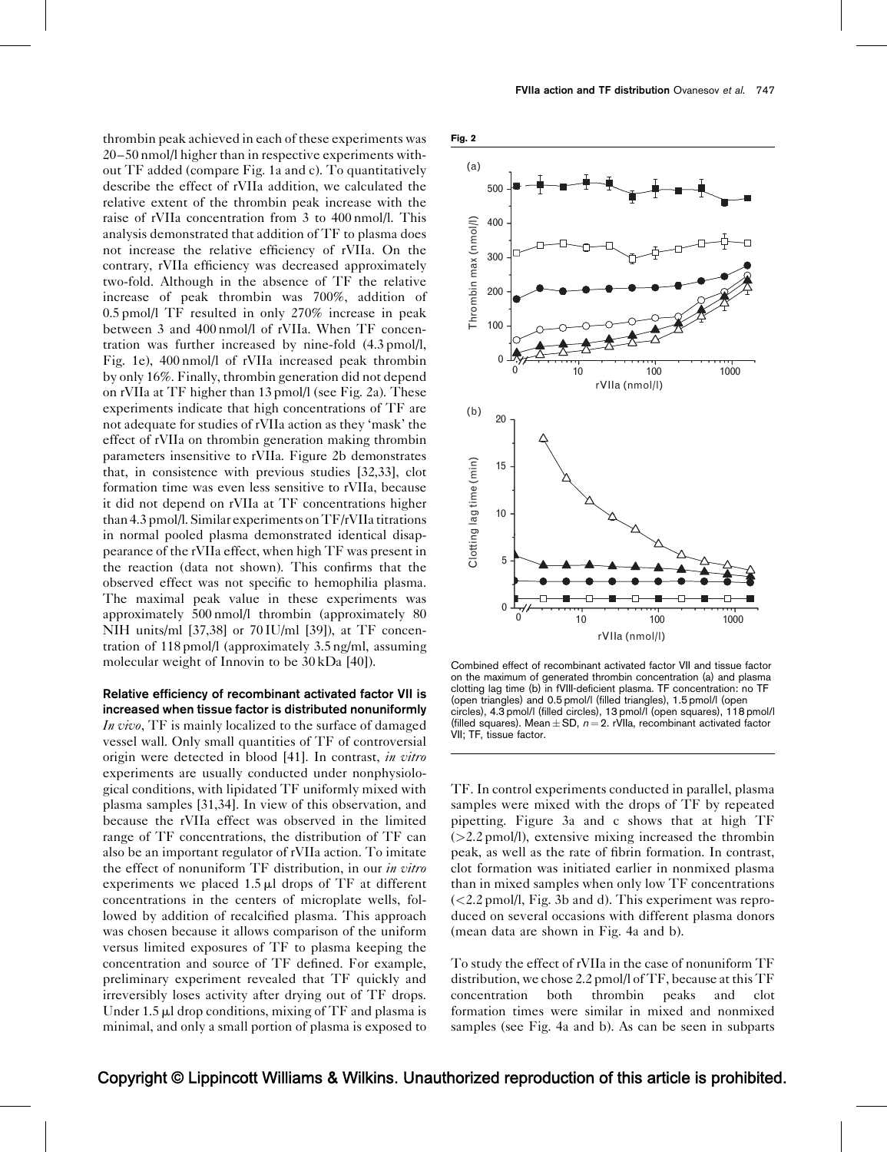<span id="page-4-0"></span>thrombin peak achieved in each of these experiments was 20–50 nmol/l higher than in respective experiments without TF added (compare [Fig. 1](#page-3-0)a and c). To quantitatively describe the effect of rVIIa addition, we calculated the relative extent of the thrombin peak increase with the raise of rVIIa concentration from 3 to 400 nmol/l. This analysis demonstrated that addition of TF to plasma does not increase the relative efficiency of rVIIa. On the contrary, rVIIa efficiency was decreased approximately two-fold. Although in the absence of TF the relative increase of peak thrombin was 700%, addition of 0.5 pmol/l TF resulted in only 270% increase in peak between 3 and 400 nmol/l of rVIIa. When TF concentration was further increased by nine-fold (4.3 pmol/l, [Fig. 1](#page-3-0)e), 400 nmol/l of rVIIa increased peak thrombin by only 16%. Finally, thrombin generation did not depend on rVIIa at TF higher than 13 pmol/l (see Fig. 2a). These experiments indicate that high concentrations of TF are not adequate for studies of rVIIa action as they 'mask' the effect of rVIIa on thrombin generation making thrombin parameters insensitive to rVIIa. Figure 2b demonstrates that, in consistence with previous studies [\[32,33\]](#page-11-0), clot formation time was even less sensitive to rVIIa, because it did not depend on rVIIa at TF concentrations higher than 4.3 pmol/l. Similar experiments on TF/rVIIa titrations in normal pooled plasma demonstrated identical disappearance of the rVIIa effect, when high TF was present in the reaction (data not shown). This confirms that the observed effect was not specific to hemophilia plasma. The maximal peak value in these experiments was approximately 500 nmol/l thrombin (approximately 80 NIH units/ml [\[37,38\]](#page-11-0) or 70 IU/ml [\[39\]\)](#page-11-0), at TF concentration of 118 pmol/l (approximately 3.5 ng/ml, assuming molecular weight of Innovin to be 30 kDa [\[40\]\)](#page-11-0).

Relative efficiency of recombinant activated factor VII is increased when tissue factor is distributed nonuniformly In vivo, TF is mainly localized to the surface of damaged vessel wall. Only small quantities of TF of controversial origin were detected in blood [\[41\]](#page-11-0). In contrast, in vitro experiments are usually conducted under nonphysiological conditions, with lipidated TF uniformly mixed with plasma samples [\[31,34\]](#page-11-0). In view of this observation, and because the rVIIa effect was observed in the limited range of TF concentrations, the distribution of TF can also be an important regulator of rVIIa action. To imitate the effect of nonuniform TF distribution, in our in vitro experiments we placed  $1.5 \mu l$  drops of TF at different concentrations in the centers of microplate wells, followed by addition of recalcified plasma. This approach was chosen because it allows comparison of the uniform versus limited exposures of TF to plasma keeping the concentration and source of TF defined. For example, preliminary experiment revealed that TF quickly and irreversibly loses activity after drying out of TF drops. Under  $1.5 \mu$ l drop conditions, mixing of TF and plasma is minimal, and only a small portion of plasma is exposed to





Combined effect of recombinant activated factor VII and tissue factor on the maximum of generated thrombin concentration (a) and plasma clotting lag time (b) in fVIII-deficient plasma. TF concentration: no TF (open triangles) and 0.5 pmol/l (filled triangles), 1.5 pmol/l (open circles), 4.3 pmol/l (filled circles), 13 pmol/l (open squares), 118 pmol/l (filled squares). Mean  $\pm$  SD,  $n = 2$ . rVIIa, recombinant activated factor VII; TF, tissue factor.

TF. In control experiments conducted in parallel, plasma samples were mixed with the drops of TF by repeated pipetting. [Figure 3](#page-5-0)a and c shows that at high TF  $(>=2.2 \text{ pmol/l})$ , extensive mixing increased the thrombin peak, as well as the rate of fibrin formation. In contrast, clot formation was initiated earlier in nonmixed plasma than in mixed samples when only low TF concentrations (<2.2 pmol/l, [Fig. 3b](#page-5-0) and d). This experiment was reproduced on several occasions with different plasma donors (mean data are shown in [Fig. 4](#page-6-0)a and b).

To study the effect of rVIIa in the case of nonuniform TF distribution, we chose 2.2 pmol/l of TF, because at this TF concentration both thrombin peaks and clot formation times were similar in mixed and nonmixed samples (see [Fig. 4](#page-6-0)a and b). As can be seen in subparts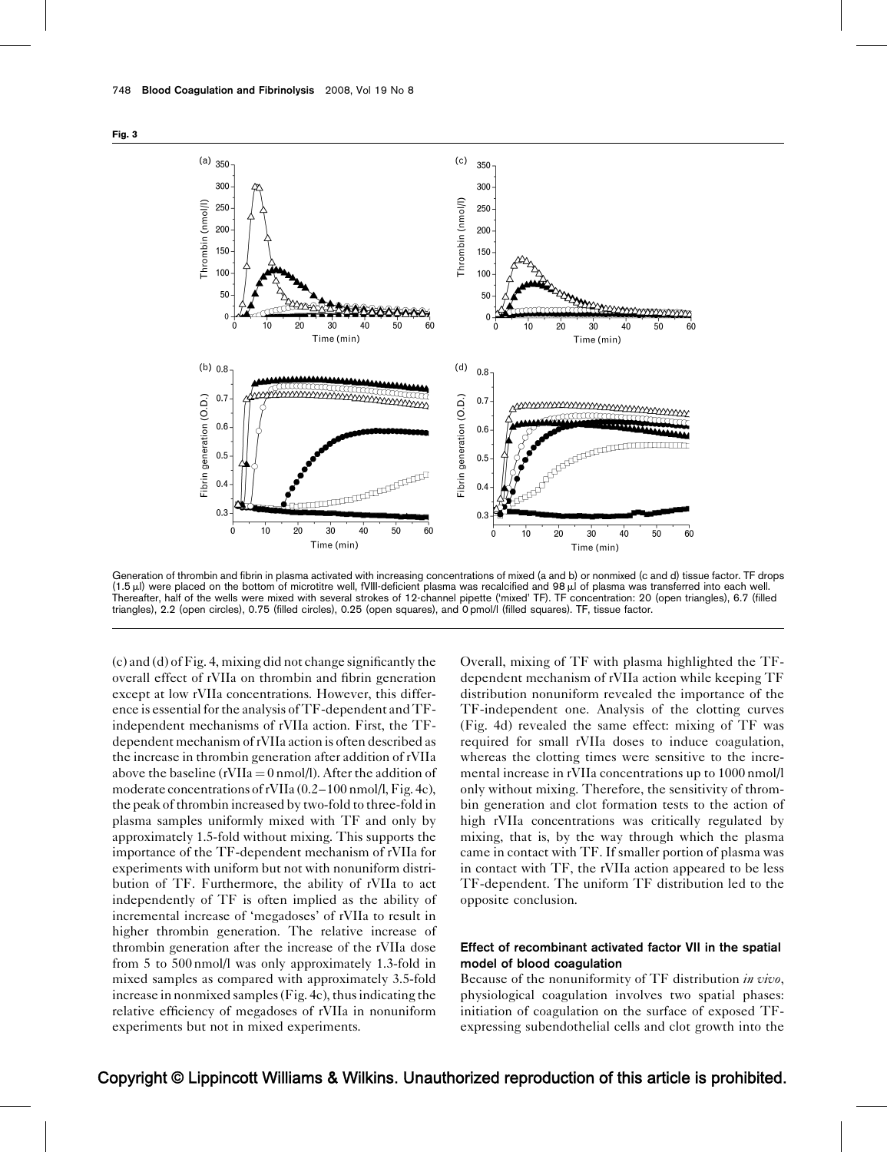<span id="page-5-0"></span>



Generation of thrombin and fibrin in plasma activated with increasing concentrations of mixed (a and b) or nonmixed (c and d) tissue factor. TF drops  $(1.5 \mu)$  were placed on the bottom of microtitre well, fVIII-deficient plasma was recalcified and 98 $\mu$ l of plasma was transferred into each well. Thereafter, half of the wells were mixed with several strokes of 12-channel pipette ('mixed' TF). TF concentration: 20 (open triangles), 6.7 (filled triangles), 2.2 (open circles), 0.75 (filled circles), 0.25 (open squares), and 0 pmol/l (filled squares). TF, tissue factor.

(c) and (d) of [Fig. 4](#page-6-0), mixing did not change significantly the overall effect of rVIIa on thrombin and fibrin generation except at low rVIIa concentrations. However, this difference is essential for the analysis of TF-dependent and TFindependent mechanisms of rVIIa action. First, the TFdependent mechanism of rVIIa action is often described as the increase in thrombin generation after addition of rVIIa above the baseline (rVIIa  $= 0$  nmol/l). After the addition of moderate concentrations of rVIIa (0.2–100 nmol/l, [Fig. 4c](#page-6-0)), the peak of thrombin increased by two-fold to three-fold in plasma samples uniformly mixed with TF and only by approximately 1.5-fold without mixing. This supports the importance of the TF-dependent mechanism of rVIIa for experiments with uniform but not with nonuniform distribution of TF. Furthermore, the ability of rVIIa to act independently of TF is often implied as the ability of incremental increase of 'megadoses' of rVIIa to result in higher thrombin generation. The relative increase of thrombin generation after the increase of the rVIIa dose from 5 to 500 nmol/l was only approximately 1.3-fold in mixed samples as compared with approximately 3.5-fold increase in nonmixed samples [\(Fig. 4c](#page-6-0)), thus indicating the relative efficiency of megadoses of rVIIa in nonuniform experiments but not in mixed experiments.

Overall, mixing of TF with plasma highlighted the TFdependent mechanism of rVIIa action while keeping TF distribution nonuniform revealed the importance of the TF-independent one. Analysis of the clotting curves [\(Fig. 4](#page-6-0)d) revealed the same effect: mixing of TF was required for small rVIIa doses to induce coagulation, whereas the clotting times were sensitive to the incremental increase in rVIIa concentrations up to 1000 nmol/l only without mixing. Therefore, the sensitivity of thrombin generation and clot formation tests to the action of high rVIIa concentrations was critically regulated by mixing, that is, by the way through which the plasma came in contact with TF. If smaller portion of plasma was in contact with TF, the rVIIa action appeared to be less TF-dependent. The uniform TF distribution led to the opposite conclusion.

## Effect of recombinant activated factor VII in the spatial model of blood coagulation

Because of the nonuniformity of TF distribution in vivo, physiological coagulation involves two spatial phases: initiation of coagulation on the surface of exposed TFexpressing subendothelial cells and clot growth into the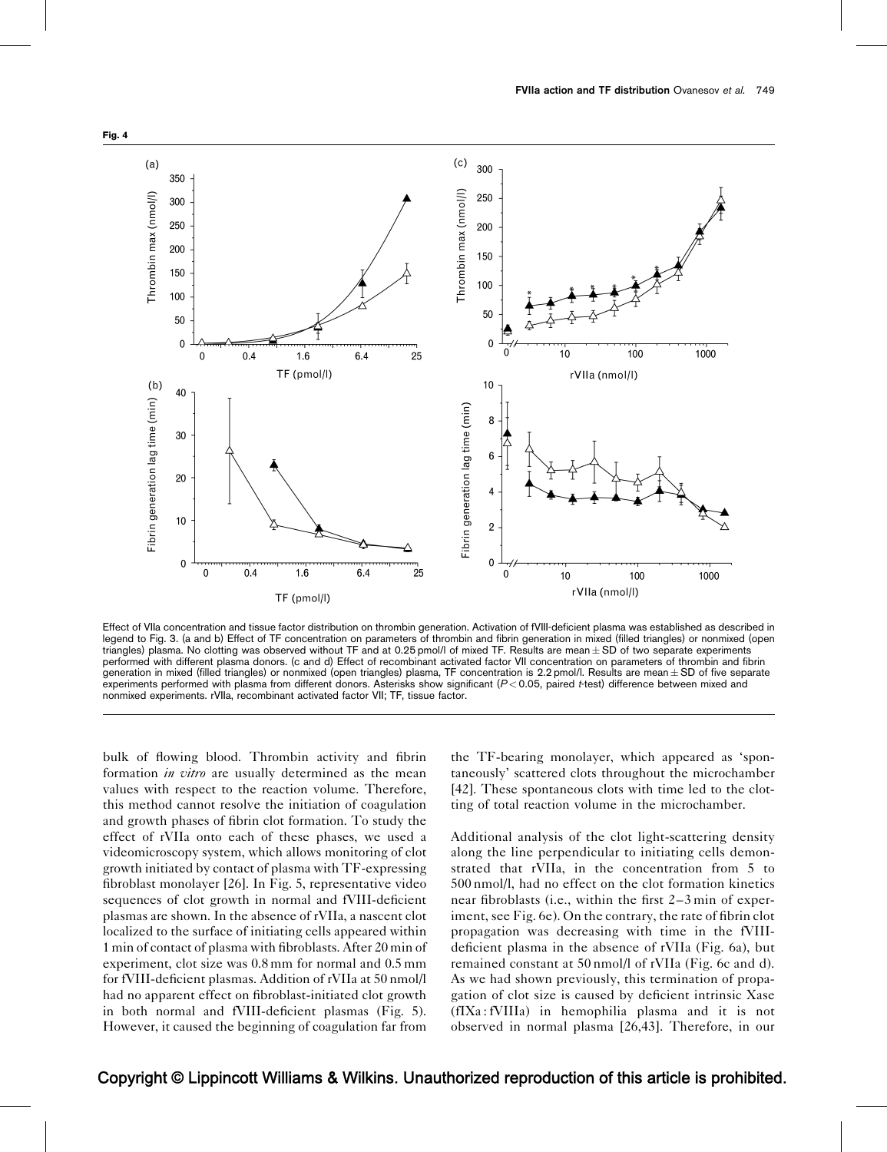<span id="page-6-0"></span>

Effect of VIIa concentration and tissue factor distribution on thrombin generation. Activation of fVIII-deficient plasma was established as described in legend to [Fig. 3.](#page-5-0) (a and b) Effect of TF concentration on parameters of thrombin and fibrin generation in mixed (filled triangles) or nonmixed (open triangles) plasma. No clotting was observed without TF and at 0.25 pmol/l of mixed TF. Results are mean  $\pm$  SD of two separate experiments performed with different plasma donors. (c and d) Effect of recombinant activated factor VII concentration on parameters of thrombin and fibrin generation in mixed (filled triangles) or nonmixed (open triangles) plasma, TF concentration is 2.2 pmol/l. Results are mean  $\pm$  SD of five separate experiments performed with plasma from different donors. Asterisks show significant  $(P < 0.05$ , paired t-test) difference between mixed and nonmixed experiments. rVIIa, recombinant activated factor VII; TF, tissue factor.

bulk of flowing blood. Thrombin activity and fibrin formation *in vitro* are usually determined as the mean values with respect to the reaction volume. Therefore, this method cannot resolve the initiation of coagulation and growth phases of fibrin clot formation. To study the effect of rVIIa onto each of these phases, we used a videomicroscopy system, which allows monitoring of clot growth initiated by contact of plasma with TF-expressing fibroblast monolayer [\[26\].](#page-11-0) In [Fig. 5](#page-7-0), representative video sequences of clot growth in normal and fVIII-deficient plasmas are shown. In the absence of rVIIa, a nascent clot localized to the surface of initiating cells appeared within 1 min of contact of plasma with fibroblasts. After 20 min of experiment, clot size was 0.8 mm for normal and 0.5 mm for fVIII-deficient plasmas. Addition of rVIIa at 50 nmol/l had no apparent effect on fibroblast-initiated clot growth in both normal and fVIII-deficient plasmas [\(Fig. 5](#page-7-0)). However, it caused the beginning of coagulation far from

the TF-bearing monolayer, which appeared as 'spontaneously' scattered clots throughout the microchamber [\[42\]](#page-11-0). These spontaneous clots with time led to the clotting of total reaction volume in the microchamber.

Additional analysis of the clot light-scattering density along the line perpendicular to initiating cells demonstrated that rVIIa, in the concentration from 5 to 500 nmol/l, had no effect on the clot formation kinetics near fibroblasts (i.e., within the first 2–3 min of experiment, see [Fig. 6e](#page-8-0)). On the contrary, the rate of fibrin clot propagation was decreasing with time in the fVIIIdeficient plasma in the absence of rVIIa [\(Fig. 6](#page-8-0)a), but remained constant at 50 nmol/l of rVIIa [\(Fig. 6](#page-8-0)c and d). As we had shown previously, this termination of propagation of clot size is caused by deficient intrinsic Xase (fIXa : fVIIIa) in hemophilia plasma and it is not observed in normal plasma [\[26,43\]](#page-11-0). Therefore, in our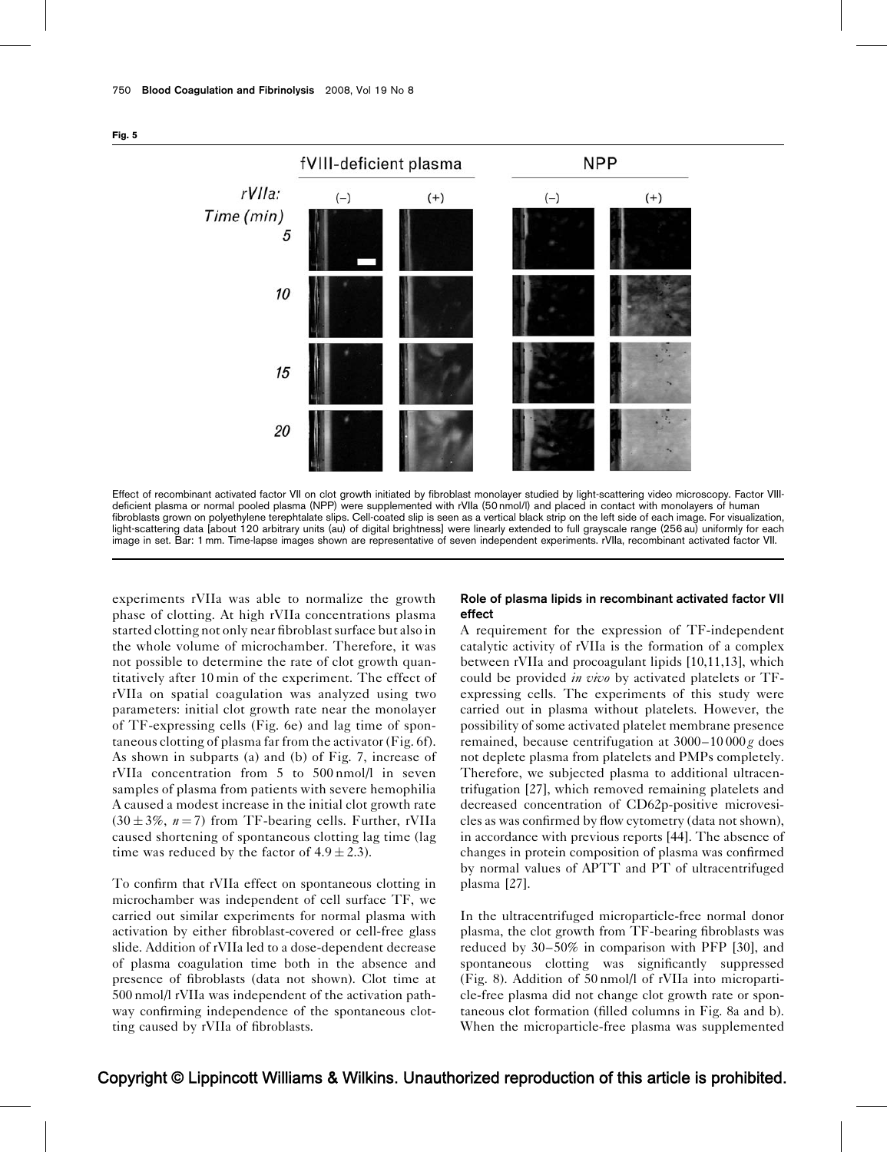

Effect of recombinant activated factor VII on clot growth initiated by fibroblast monolayer studied by light-scattering video microscopy. Factor VIIIdeficient plasma or normal pooled plasma (NPP) were supplemented with rVIIa (50 nmol/l) and placed in contact with monolayers of human fibroblasts grown on polyethylene terephtalate slips. Cell-coated slip is seen as a vertical black strip on the left side of each image. For visualization, light-scattering data [about 120 arbitrary units (au) of digital brightness] were linearly extended to full grayscale range (256 au) uniformly for each image in set. Bar: 1 mm. Time-lapse images shown are representative of seven independent experiments. rVIIa, recombinant activated factor VII.

experiments rVIIa was able to normalize the growth phase of clotting. At high rVIIa concentrations plasma started clotting not only near fibroblast surface but also in the whole volume of microchamber. Therefore, it was not possible to determine the rate of clot growth quantitatively after 10 min of the experiment. The effect of rVIIa on spatial coagulation was analyzed using two parameters: initial clot growth rate near the monolayer of TF-expressing cells ([Fig. 6e](#page-8-0)) and lag time of spontaneous clotting of plasma far from the activator [\(Fig. 6f](#page-8-0)). As shown in subparts (a) and (b) of [Fig. 7,](#page-9-0) increase of rVIIa concentration from 5 to 500 nmol/l in seven samples of plasma from patients with severe hemophilia A caused a modest increase in the initial clot growth rate  $(30 \pm 3\%, n = 7)$  from TF-bearing cells. Further, rVIIa caused shortening of spontaneous clotting lag time (lag time was reduced by the factor of  $4.9 \pm 2.3$ ).

To confirm that rVIIa effect on spontaneous clotting in microchamber was independent of cell surface TF, we carried out similar experiments for normal plasma with activation by either fibroblast-covered or cell-free glass slide. Addition of rVIIa led to a dose-dependent decrease of plasma coagulation time both in the absence and presence of fibroblasts (data not shown). Clot time at 500 nmol/l rVIIa was independent of the activation pathway confirming independence of the spontaneous clotting caused by rVIIa of fibroblasts.

## Role of plasma lipids in recombinant activated factor VII effect

A requirement for the expression of TF-independent catalytic activity of rVIIa is the formation of a complex between rVIIa and procoagulant lipids [\[10,11,13\],](#page-11-0) which could be provided *in vivo* by activated platelets or TFexpressing cells. The experiments of this study were carried out in plasma without platelets. However, the possibility of some activated platelet membrane presence remained, because centrifugation at  $3000-10000 g$  does not deplete plasma from platelets and PMPs completely. Therefore, we subjected plasma to additional ultracentrifugation [\[27\],](#page-11-0) which removed remaining platelets and decreased concentration of CD62p-positive microvesicles as was confirmed by flow cytometry (data not shown), in accordance with previous reports [\[44\]](#page-12-0). The absence of changes in protein composition of plasma was confirmed by normal values of APTT and PT of ultracentrifuged plasma [\[27\]](#page-11-0).

In the ultracentrifuged microparticle-free normal donor plasma, the clot growth from TF-bearing fibroblasts was reduced by 30–50% in comparison with PFP [\[30\]](#page-11-0), and spontaneous clotting was significantly suppressed [\(Fig. 8\)](#page-9-0). Addition of 50 nmol/l of rVIIa into microparticle-free plasma did not change clot growth rate or spontaneous clot formation (filled columns in [Fig. 8](#page-9-0)a and b). When the microparticle-free plasma was supplemented

#### <span id="page-7-0"></span>Fig. 5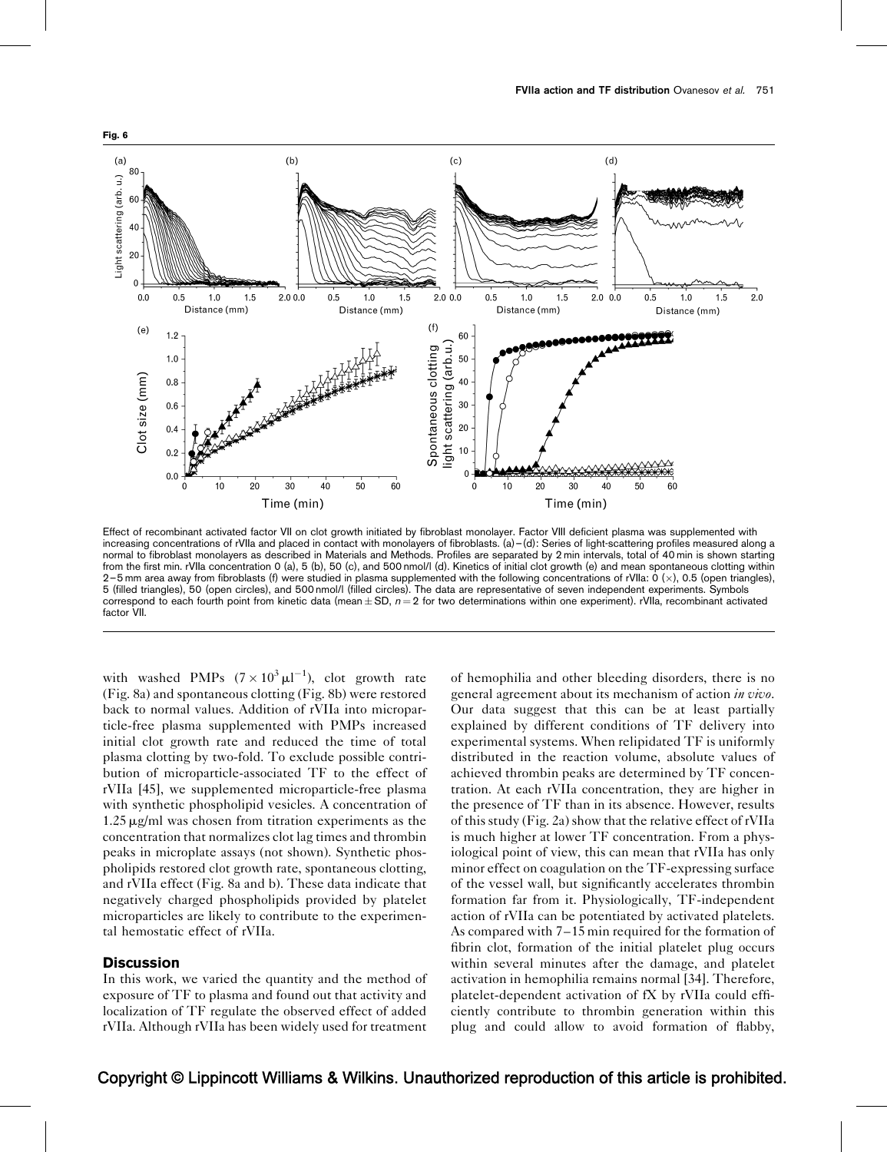<span id="page-8-0"></span>

Effect of recombinant activated factor VII on clot growth initiated by fibroblast monolayer. Factor VIII deficient plasma was supplemented with increasing concentrations of rVIIa and placed in contact with monolayers of fibroblasts. (a)–(d): Series of light-scattering profiles measured along a normal to fibroblast monolayers as described in Materials and Methods. Profiles are separated by 2 min intervals, total of 40 min is shown starting from the first min. rVIIa concentration 0 (a), 5 (b), 50 (c), and 500 nmol/l (d). Kinetics of initial clot growth (e) and mean spontaneous clotting within 2–5 mm area away from fibroblasts (f) were studied in plasma supplemented with the following concentrations of rVlla: 0 ( $\times$ ), 0.5 (open triangles), 5 (filled triangles), 50 (open circles), and 500 nmol/l (filled circles). The data are representative of seven independent experiments. Symbols correspond to each fourth point from kinetic data (mean  $\pm$  SD,  $n = 2$  for two determinations within one experiment). rVIIa, recombinant activated factor VII.

with washed PMPs  $(7 \times 10^3 \,\mu\text{m}^{-1})$ , clot growth rate [\(Fig. 8](#page-9-0)a) and spontaneous clotting [\(Fig. 8](#page-9-0)b) were restored back to normal values. Addition of rVIIa into microparticle-free plasma supplemented with PMPs increased initial clot growth rate and reduced the time of total plasma clotting by two-fold. To exclude possible contribution of microparticle-associated TF to the effect of rVIIa [\[45\],](#page-12-0) we supplemented microparticle-free plasma with synthetic phospholipid vesicles. A concentration of  $1.25 \,\mathrm{\upmu}\mathrm{g/mL}$  was chosen from titration experiments as the concentration that normalizes clot lag times and thrombin peaks in microplate assays (not shown). Synthetic phospholipids restored clot growth rate, spontaneous clotting, and rVIIa effect ([Fig. 8](#page-9-0)a and b). These data indicate that negatively charged phospholipids provided by platelet microparticles are likely to contribute to the experimental hemostatic effect of rVIIa.

## **Discussion**

In this work, we varied the quantity and the method of exposure of TF to plasma and found out that activity and localization of TF regulate the observed effect of added rVIIa. Although rVIIa has been widely used for treatment

of hemophilia and other bleeding disorders, there is no general agreement about its mechanism of action in vivo. Our data suggest that this can be at least partially explained by different conditions of TF delivery into experimental systems. When relipidated TF is uniformly distributed in the reaction volume, absolute values of achieved thrombin peaks are determined by TF concentration. At each rVIIa concentration, they are higher in the presence of TF than in its absence. However, results of this study ([Fig. 2a](#page-4-0)) show that the relative effect of rVIIa is much higher at lower TF concentration. From a physiological point of view, this can mean that rVIIa has only minor effect on coagulation on the TF-expressing surface of the vessel wall, but significantly accelerates thrombin formation far from it. Physiologically, TF-independent action of rVIIa can be potentiated by activated platelets. As compared with 7–15 min required for the formation of fibrin clot, formation of the initial platelet plug occurs within several minutes after the damage, and platelet activation in hemophilia remains normal [\[34\]](#page-11-0). Therefore, platelet-dependent activation of fX by rVIIa could efficiently contribute to thrombin generation within this plug and could allow to avoid formation of flabby,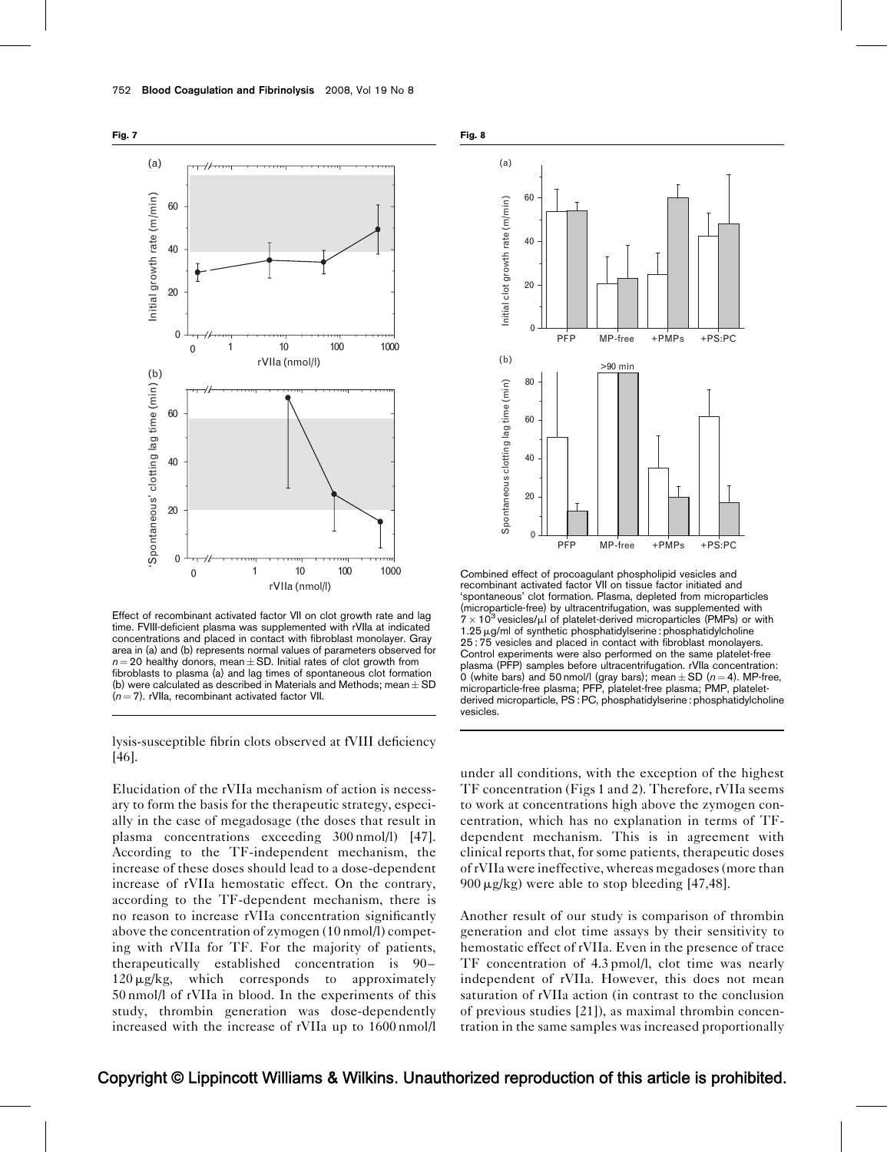<span id="page-9-0"></span>

Effect of recombinant activated factor VII on clot growth rate and lag time. FVIII-deficient plasma was supplemented with rVIIa at indicated concentrations and placed in contact with fibroblast monolayer. Gray area in (a) and (b) represents normal values of parameters observed for  $n = 20$  healthy donors, mean  $\pm$  SD. Initial rates of clot growth from fibroblasts to plasma (a) and lag times of spontaneous clot formation (b) were calculated as described in Materials and Methods; mean  $\pm$  SD  $(n = 7)$ . rVIIa, recombinant activated factor VII.

lysis-susceptible fibrin clots observed at fVIII deficiency [\[46\]](#page-12-0).

Elucidation of the rVIIa mechanism of action is necessary to form the basis for the therapeutic strategy, especially in the case of megadosage (the doses that result in plasma concentrations exceeding 300 nmol/l) [\[47\]](#page-12-0). According to the TF-independent mechanism, the increase of these doses should lead to a dose-dependent increase of rVIIa hemostatic effect. On the contrary, according to the TF-dependent mechanism, there is no reason to increase rVIIa concentration significantly above the concentration of zymogen (10 nmol/l) competing with rVIIa for TF. For the majority of patients, therapeutically established concentration is 90–  $120 \mu g/kg$ , which corresponds to approximately 50 nmol/l of rVIIa in blood. In the experiments of this study, thrombin generation was dose-dependently increased with the increase of rVIIa up to 1600 nmol/l



Combined effect of procoagulant phospholipid vesicles and recombinant activated factor VII on tissue factor initiated and 'spontaneous' clot formation. Plasma, depleted from microparticles (microparticle-free) by ultracentrifugation, was supplemented with  $7 \times 10^3$  vesicles/ $\mu$ l of platelet-derived microparticles (PMPs) or with  $1.25 \mu$ g/ml of synthetic phosphatidylserine : phosphatidylcholine 25 : 75 vesicles and placed in contact with fibroblast monolayers. Control experiments were also performed on the same platelet-free plasma (PFP) samples before ultracentrifugation. rVIIa concentration: 0 (white bars) and 50 nmol/l (gray bars); mean  $\pm$  SD ( $n = 4$ ). MP-free, microparticle-free plasma; PFP, platelet-free plasma; PMP, plateletderived microparticle, PS : PC, phosphatidylserine : phosphatidylcholine vesicles.

under all conditions, with the exception of the highest TF concentration ([Figs 1 and 2](#page-3-0)). Therefore, rVIIa seems to work at concentrations high above the zymogen concentration, which has no explanation in terms of TFdependent mechanism. This is in agreement with clinical reports that, for some patients, therapeutic doses of rVIIa were ineffective, whereas megadoses (more than  $900 \mu$ g/kg) were able to stop bleeding [\[47,48\].](#page-12-0)

Another result of our study is comparison of thrombin generation and clot time assays by their sensitivity to hemostatic effect of rVIIa. Even in the presence of trace TF concentration of 4.3 pmol/l, clot time was nearly independent of rVIIa. However, this does not mean saturation of rVIIa action (in contrast to the conclusion of previous studies [\[21\]\)](#page-11-0), as maximal thrombin concentration in the same samples was increased proportionally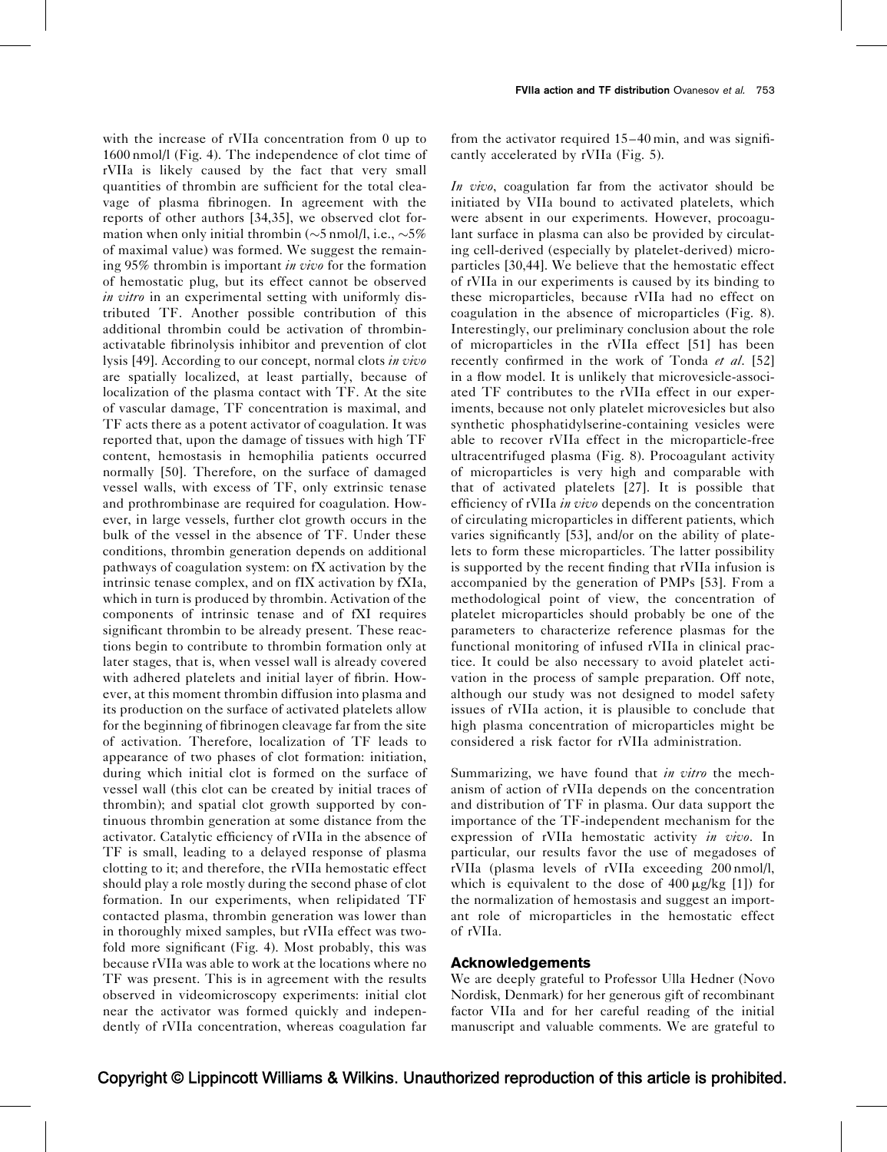with the increase of rVIIa concentration from 0 up to 1600 nmol/l [\(Fig. 4\)](#page-6-0). The independence of clot time of rVIIa is likely caused by the fact that very small quantities of thrombin are sufficient for the total cleavage of plasma fibrinogen. In agreement with the reports of other authors [\[34,35\]](#page-11-0), we observed clot formation when only initial thrombin ( $\sim$ 5 nmol/l, i.e.,  $\sim$ 5% of maximal value) was formed. We suggest the remaining 95% thrombin is important in vivo for the formation of hemostatic plug, but its effect cannot be observed in vitro in an experimental setting with uniformly distributed TF. Another possible contribution of this additional thrombin could be activation of thrombinactivatable fibrinolysis inhibitor and prevention of clot lysis [\[49\]](#page-12-0). According to our concept, normal clots in vivo are spatially localized, at least partially, because of localization of the plasma contact with TF. At the site of vascular damage, TF concentration is maximal, and TF acts there as a potent activator of coagulation. It was reported that, upon the damage of tissues with high TF content, hemostasis in hemophilia patients occurred normally [\[50\]](#page-12-0). Therefore, on the surface of damaged vessel walls, with excess of TF, only extrinsic tenase and prothrombinase are required for coagulation. However, in large vessels, further clot growth occurs in the bulk of the vessel in the absence of TF. Under these conditions, thrombin generation depends on additional pathways of coagulation system: on fX activation by the intrinsic tenase complex, and on fIX activation by fXIa, which in turn is produced by thrombin. Activation of the components of intrinsic tenase and of fXI requires significant thrombin to be already present. These reactions begin to contribute to thrombin formation only at later stages, that is, when vessel wall is already covered with adhered platelets and initial layer of fibrin. However, at this moment thrombin diffusion into plasma and its production on the surface of activated platelets allow for the beginning of fibrinogen cleavage far from the site of activation. Therefore, localization of TF leads to appearance of two phases of clot formation: initiation, during which initial clot is formed on the surface of vessel wall (this clot can be created by initial traces of thrombin); and spatial clot growth supported by continuous thrombin generation at some distance from the activator. Catalytic efficiency of rVIIa in the absence of TF is small, leading to a delayed response of plasma clotting to it; and therefore, the rVIIa hemostatic effect should play a role mostly during the second phase of clot formation. In our experiments, when relipidated TF contacted plasma, thrombin generation was lower than in thoroughly mixed samples, but rVIIa effect was twofold more significant ([Fig. 4\)](#page-6-0). Most probably, this was because rVIIa was able to work at the locations where no TF was present. This is in agreement with the results observed in videomicroscopy experiments: initial clot near the activator was formed quickly and independently of rVIIa concentration, whereas coagulation far

from the activator required 15–40 min, and was significantly accelerated by rVIIa ([Fig. 5\)](#page-7-0).

In vivo, coagulation far from the activator should be initiated by VIIa bound to activated platelets, which were absent in our experiments. However, procoagulant surface in plasma can also be provided by circulating cell-derived (especially by platelet-derived) microparticles [\[30,44\].](#page-11-0) We believe that the hemostatic effect of rVIIa in our experiments is caused by its binding to these microparticles, because rVIIa had no effect on coagulation in the absence of microparticles ([Fig. 8](#page-9-0)). Interestingly, our preliminary conclusion about the role of microparticles in the rVIIa effect [\[51\]](#page-12-0) has been recently confirmed in the work of Tonda et al. [\[52\]](#page-12-0) in a flow model. It is unlikely that microvesicle-associated TF contributes to the rVIIa effect in our experiments, because not only platelet microvesicles but also synthetic phosphatidylserine-containing vesicles were able to recover rVIIa effect in the microparticle-free ultracentrifuged plasma ([Fig. 8](#page-9-0)). Procoagulant activity of microparticles is very high and comparable with that of activated platelets [\[27\]](#page-11-0). It is possible that efficiency of rVIIa in vivo depends on the concentration of circulating microparticles in different patients, which varies significantly [\[53\]](#page-12-0), and/or on the ability of platelets to form these microparticles. The latter possibility is supported by the recent finding that rVIIa infusion is accompanied by the generation of PMPs [\[53\].](#page-12-0) From a methodological point of view, the concentration of platelet microparticles should probably be one of the parameters to characterize reference plasmas for the functional monitoring of infused rVIIa in clinical practice. It could be also necessary to avoid platelet activation in the process of sample preparation. Off note, although our study was not designed to model safety issues of rVIIa action, it is plausible to conclude that high plasma concentration of microparticles might be considered a risk factor for rVIIa administration.

Summarizing, we have found that in vitro the mechanism of action of rVIIa depends on the concentration and distribution of TF in plasma. Our data support the importance of the TF-independent mechanism for the expression of rVIIa hemostatic activity in vivo. In particular, our results favor the use of megadoses of rVIIa (plasma levels of rVIIa exceeding 200 nmol/l, which is equivalent to the dose of  $400 \mu g/kg$  [\[1\]](#page-11-0)) for the normalization of hemostasis and suggest an important role of microparticles in the hemostatic effect of rVIIa.

## Acknowledgements

We are deeply grateful to Professor Ulla Hedner (Novo Nordisk, Denmark) for her generous gift of recombinant factor VIIa and for her careful reading of the initial manuscript and valuable comments. We are grateful to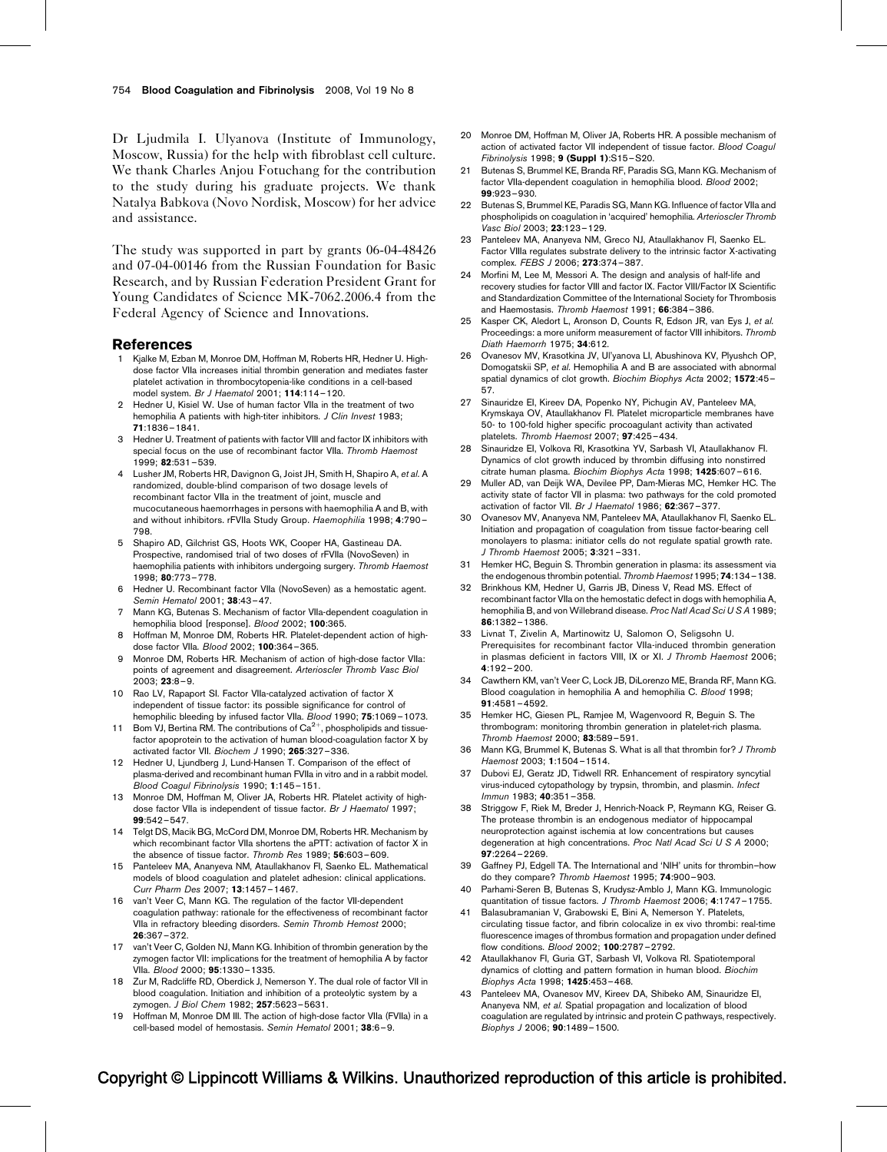<span id="page-11-0"></span>Dr Ljudmila I. Ulyanova (Institute of Immunology, Moscow, Russia) for the help with fibroblast cell culture. We thank Charles Anjou Fotuchang for the contribution to the study during his graduate projects. We thank Natalya Babkova (Novo Nordisk, Moscow) for her advice and assistance.

The study was supported in part by grants 06-04-48426 and 07-04-00146 from the Russian Foundation for Basic Research, and by Russian Federation President Grant for Young Candidates of Science MK-7062.2006.4 from the Federal Agency of Science and Innovations.

#### References

- 1 Kjalke M, Ezban M, Monroe DM, Hoffman M, Roberts HR, Hedner U. Highdose factor VIIa increases initial thrombin generation and mediates faster platelet activation in thrombocytopenia-like conditions in a cell-based model system. Br J Haematol 2001; 114:114–120.
- 2 Hedner U, Kisiel W. Use of human factor VIIa in the treatment of two hemophilia A patients with high-titer inhibitors. J Clin Invest 1983; 71:1836–1841.
- 3 Hedner U. Treatment of patients with factor VIII and factor IX inhibitors with special focus on the use of recombinant factor VIIa. Thromb Haemost 1999; 82:531–539.
- 4 Lusher JM, Roberts HR, Davignon G, Joist JH, Smith H, Shapiro A, et al. A randomized, double-blind comparison of two dosage levels of recombinant factor VIIa in the treatment of joint, muscle and mucocutaneous haemorrhages in persons with haemophilia A and B, with and without inhibitors. rFVIIa Study Group. Haemophilia 1998; 4:790– 798.
- 5 Shapiro AD, Gilchrist GS, Hoots WK, Cooper HA, Gastineau DA. Prospective, randomised trial of two doses of rFVIIa (NovoSeven) in haemophilia patients with inhibitors undergoing surgery. Thromb Haemost 1998; 80:773–778.
- 6 Hedner U. Recombinant factor VIIa (NovoSeven) as a hemostatic agent. Semin Hematol 2001; 38:43–47.
- 7 Mann KG, Butenas S. Mechanism of factor VIIa-dependent coagulation in hemophilia blood [response]. Blood 2002; 100:365.
- 8 Hoffman M, Monroe DM, Roberts HR. Platelet-dependent action of highdose factor VIIa. Blood 2002; 100:364-365.
- 9 Monroe DM, Roberts HR. Mechanism of action of high-dose factor VIIa: points of agreement and disagreement. Arterioscler Thromb Vasc Biol 2003; 23:8–9.
- 10 Rao LV, Rapaport SI. Factor VIIa-catalyzed activation of factor X independent of tissue factor: its possible significance for control of hemophilic bleeding by infused factor VIIa. Blood 1990; 75:1069-1073.
- Bom VJ, Bertina RM. The contributions of  $Ca^{2+}$ , phospholipids and tissuefactor apoprotein to the activation of human blood-coagulation factor X by activated factor VII. Biochem J 1990:  $265:327-336$ .
- 12 Hedner U, Ljundberg J, Lund-Hansen T. Comparison of the effect of plasma-derived and recombinant human FVIIa in vitro and in a rabbit model. Blood Coagul Fibrinolysis 1990; 1:145–151.
- 13 Monroe DM, Hoffman M, Oliver JA, Roberts HR. Platelet activity of highdose factor VIIa is independent of tissue factor. Br J Haematol 1997; 99:542–547.
- 14 Telgt DS, Macik BG, McCord DM, Monroe DM, Roberts HR, Mechanism by which recombinant factor VIIa shortens the aPTT: activation of factor X in the absence of tissue factor. Thromb Res 1989; 56:603-609.
- 15 Panteleev MA, Ananyeva NM, Ataullakhanov FI, Saenko EL. Mathematical models of blood coagulation and platelet adhesion: clinical applications. Curr Pharm Des 2007; 13:1457–1467.
- 16 van't Veer C, Mann KG. The regulation of the factor VII-dependent coagulation pathway: rationale for the effectiveness of recombinant factor VIIa in refractory bleeding disorders. Semin Thromb Hemost 2000; 26:367–372.
- van't Veer C, Golden NJ, Mann KG. Inhibition of thrombin generation by the zymogen factor VII: implications for the treatment of hemophilia A by factor Vila. Blood 2000; 95:1330-1335.
- 18 Zur M, Radcliffe RD, Oberdick J, Nemerson Y. The dual role of factor VII in blood coagulation. Initiation and inhibition of a proteolytic system by a zymogen. J Biol Chem 1982; 257:5623-5631.
- 19 Hoffman M, Monroe DM III. The action of high-dose factor VIIa (FVIIa) in a cell-based model of hemostasis. Semin Hematol 2001; 38:6-9.
- 20 Monroe DM, Hoffman M, Oliver JA, Roberts HR. A possible mechanism of action of activated factor VII independent of tissue factor. Blood Coagul Fibrinolysis 1998; 9 (Suppl 1):S15–S20.
- 21 Butenas S, Brummel KE, Branda RF, Paradis SG, Mann KG. Mechanism of factor VIIa-dependent coagulation in hemophilia blood. Blood 2002; 99:923–930.
- 22 Butenas S, Brummel KE, Paradis SG, Mann KG. Influence of factor VIIa and phospholipids on coagulation in 'acquired' hemophilia. Arterioscler Thromb Vasc Biol 2003; 23:123–129.
- 23 Panteleev MA, Ananyeva NM, Greco NJ, Ataullakhanov FI, Saenko EL. Factor VIIIa regulates substrate delivery to the intrinsic factor X-activating complex. FEBS J 2006; 273:374–387.
- 24 Morfini M, Lee M, Messori A. The design and analysis of half-life and recovery studies for factor VIII and factor IX. Factor VIII/Factor IX Scientific and Standardization Committee of the International Society for Thrombosis and Haemostasis. Thromb Haemost 1991; 66:384–386.
- 25 Kasper CK, Aledort L, Aronson D, Counts R, Edson JR, van Evs J, et al. Proceedings: a more uniform measurement of factor VIII inhibitors. Thromb Diath Haemorrh 1975; 34:612.
- 26 Ovanesov MV, Krasotkina JV, Ul'yanova LI, Abushinova KV, Plyushch OP, Domogatskii SP, et al. Hemophilia A and B are associated with abnormal spatial dynamics of clot growth. Biochim Biophys Acta 2002; 1572:45-57.
- 27 Sinauridze EI, Kireev DA, Popenko NY, Pichugin AV, Panteleev MA, Krymskaya OV, Ataullakhanov FI. Platelet microparticle membranes have 50- to 100-fold higher specific procoagulant activity than activated platelets. Thromb Haemost 2007; 97:425–434.
- 28 Sinauridze EI, Volkova RI, Krasotkina YV, Sarbash VI, Ataullakhanov FI. Dynamics of clot growth induced by thrombin diffusing into nonstirred citrate human plasma. Biochim Biophys Acta 1998; 1425:607–616.
- 29 Muller AD, van Deijk WA, Devilee PP, Dam-Mieras MC, Hemker HC. The activity state of factor VII in plasma: two pathways for the cold promoted activation of factor VII. Br J Haematol 1986; 62:367–377.
- 30 Ovanesov MV, Ananyeva NM, Panteleev MA, Ataullakhanov FI, Saenko EL. Initiation and propagation of coagulation from tissue factor-bearing cell monolayers to plasma: initiator cells do not regulate spatial growth rate. J Thromb Haemost 2005; 3:321–331.
- 31 Hemker HC, Beguin S. Thrombin generation in plasma: its assessment via the endogenous thrombin potential. Thromb Haemost 1995; 74:134-138.
- 32 Brinkhous KM, Hedner U, Garris JB, Diness V, Read MS. Effect of recombinant factor VIIa on the hemostatic defect in dogs with hemophilia A, hemophilia B, and von Willebrand disease. Proc Natl Acad Sci USA 1989; 86:1382–1386.
- 33 Livnat T, Zivelin A, Martinowitz U, Salomon O, Seligsohn U. Prerequisites for recombinant factor VIIa-induced thrombin generation in plasmas deficient in factors VIII, IX or XI. J Thromb Haemost 2006;  $4:192-200$ .
- 34 Cawthern KM, van't Veer C, Lock JB, DiLorenzo ME, Branda RF, Mann KG. Blood coagulation in hemophilia A and hemophilia C. Blood 1998; 91:4581–4592.
- 35 Hemker HC, Giesen PL, Ramjee M, Wagenvoord R, Beguin S. The thrombogram: monitoring thrombin generation in platelet-rich plasma. Thromb Haemost 2000; 83:589–591.
- 36 Mann KG, Brummel K, Butenas S. What is all that thrombin for? J Thromb Haemost 2003; 1:1504–1514.
- Dubovi EJ, Geratz JD, Tidwell RR. Enhancement of respiratory syncytial virus-induced cytopathology by trypsin, thrombin, and plasmin. Infect Immun 1983; 40:351–358.
- 38 Striggow F, Riek M, Breder J, Henrich-Noack P, Reymann KG, Reiser G. The protease thrombin is an endogenous mediator of hippocampal neuroprotection against ischemia at low concentrations but causes degeneration at high concentrations. Proc Natl Acad Sci U S A 2000; 97:2264–2269.
- 39 Gaffney PJ, Edgell TA. The International and 'NIH' units for thrombin–how do they compare? Thromb Haemost 1995; 74:900–903.
- 40 Parhami-Seren B, Butenas S, Krudysz-Amblo J, Mann KG. Immunologic quantitation of tissue factors. J Thromb Haemost 2006; 4:1747–1755.
- 41 Balasubramanian V, Grabowski E, Bini A, Nemerson Y. Platelets, circulating tissue factor, and fibrin colocalize in ex vivo thrombi: real-time fluorescence images of thrombus formation and propagation under defined flow conditions. Blood 2002; 100:2787–2792.
- 42 Ataullakhanov FI, Guria GT, Sarbash VI, Volkova RI. Spatiotemporal dynamics of clotting and pattern formation in human blood. Biochim Biophys Acta 1998; 1425:453–468.
- 43 Panteleev MA, Ovanesov MV, Kireev DA, Shibeko AM, Sinauridze EI, Ananyeva NM, et al. Spatial propagation and localization of blood coagulation are regulated by intrinsic and protein C pathways, respectively. Biophys J 2006; 90:1489–1500.